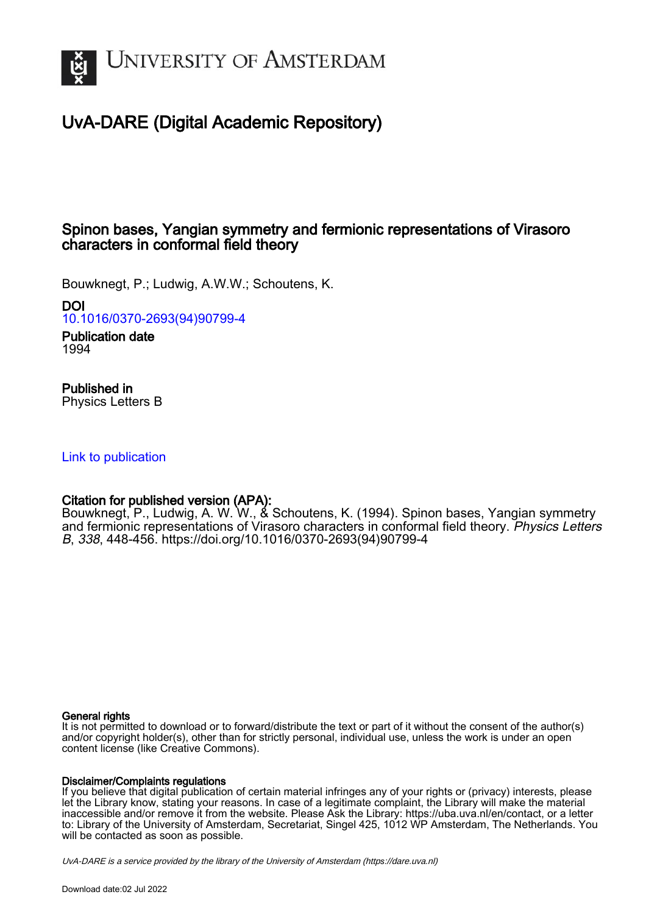

# UvA-DARE (Digital Academic Repository)

# Spinon bases, Yangian symmetry and fermionic representations of Virasoro characters in conformal field theory

Bouwknegt, P.; Ludwig, A.W.W.; Schoutens, K.

DOI

[10.1016/0370-2693\(94\)90799-4](https://doi.org/10.1016/0370-2693(94)90799-4)

Publication date 1994

# Published in

Physics Letters B

# [Link to publication](https://dare.uva.nl/personal/pure/en/publications/spinon-bases-yangian-symmetry-and-fermionic-representations-of-virasoro-characters-in-conformal-field-theory(61e896d5-b285-4c2e-9762-14535a7e79f9).html)

# Citation for published version (APA):

Bouwknegt, P., Ludwig, A. W. W., & Schoutens, K. (1994). Spinon bases, Yangian symmetry and fermionic representations of Virasoro characters in conformal field theory. Physics Letters B, 338, 448-456. [https://doi.org/10.1016/0370-2693\(94\)90799-4](https://doi.org/10.1016/0370-2693(94)90799-4)

## General rights

It is not permitted to download or to forward/distribute the text or part of it without the consent of the author(s) and/or copyright holder(s), other than for strictly personal, individual use, unless the work is under an open content license (like Creative Commons).

# Disclaimer/Complaints regulations

If you believe that digital publication of certain material infringes any of your rights or (privacy) interests, please let the Library know, stating your reasons. In case of a legitimate complaint, the Library will make the material inaccessible and/or remove it from the website. Please Ask the Library: https://uba.uva.nl/en/contact, or a letter to: Library of the University of Amsterdam, Secretariat, Singel 425, 1012 WP Amsterdam, The Netherlands. You will be contacted as soon as possible.

UvA-DARE is a service provided by the library of the University of Amsterdam (http*s*://dare.uva.nl)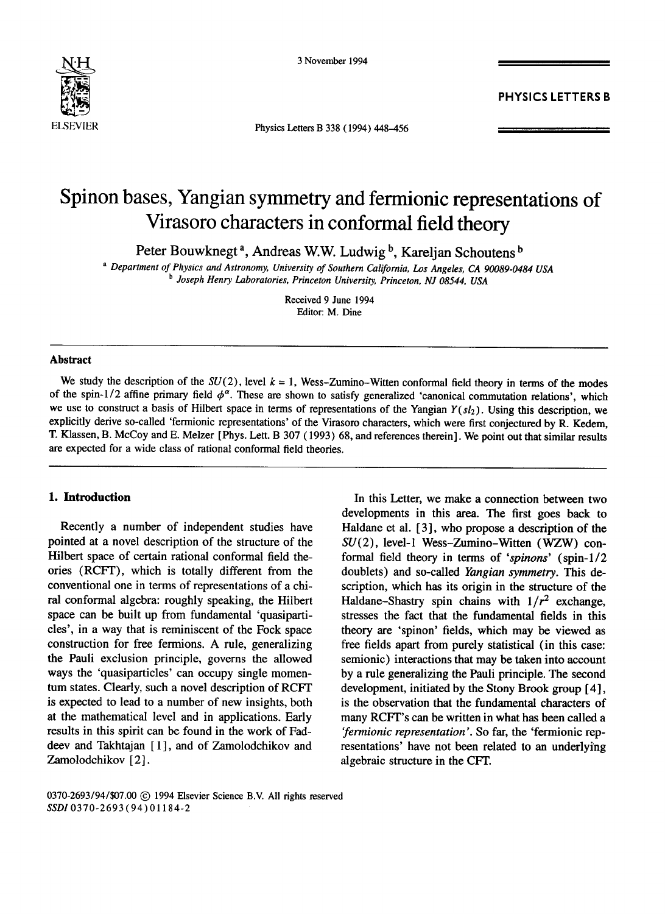

3 November 1994

PHYSICS LETTERS B

Physics Letters B 338 (1994) 448-456

# **Spinon bases, Yangian symmetry and fermionic representations of Virasoro characters in conformal field theory**

Peter Bouwknegt<sup>a</sup>, Andreas W.W. Ludwig<sup>b</sup>, Karelian Schoutens<sup>b</sup>

*a Department of Physics and Astronomy, University of Southern California, Los Angeles, CA 90089-0484 USA b Joseph Henry Laboratories, Princeton University, Princeton, NJ 08544, USA* 

> Received 9 June 1994 Editor: M. Dine

### **Abstract**

We study the description of the  $SU(2)$ , level  $k = 1$ , Wess-Zumino-Witten conformal field theory in terms of the modes of the spin-1/2 affine primary field  $\phi^{\alpha}$ . These are shown to satisfy generalized 'canonical commutation relations', which we use to construct a basis of Hilbert space in terms of representations of the Yangian  $Y(sl_2)$ . Using this description, we explicitly derive so-called 'fermionic representations' of the Virasoro characters, which were first conjectured by R. Kedem, T. Klassen, B. McCoy and E. Melzer [Phys. Lett. B 307 (1993) 68, and references therein]. We point out that similar results are expected for a wide class of rational conformal field theories.

## **1. Introduction**

Recently a number of independent studies have pointed at a novel description of the structure of the Hilbert space of certain rational conformal field theories (RCFT), which is totally different from the conventional one in terms of representations of a chiral conformal algebra: roughly speaking, the Hilbert space can be built up from fundamental 'quasiparticles', in a way that is reminiscent of the Fock space construction for free fermions. A rule, generalizing the Pauli exclusion principle, governs the allowed ways the 'quasiparticles' can occupy single momentum states. Clearly, such a novel description of RCFT is expected to lead to a number of new insights, both at the mathematical level and in applications. Early results in this spirit can be found in the work of Faddeev and Takhtajan [1], and of Zamolodchikov and Zamolodchikov [2].

In this Letter, we make a connection between two developments in this area. The first goes back to Haldane et al. [3], who propose a description of the  $SU(2)$ , level-1 Wess-Zumino-Witten (WZW) conformal field theory in terms of *'spinons'* (spin-I/2 doublets) and so-called *Yangian symmetry.* This description, which has its origin in the structure of the Haldane-Shastry spin chains with  $1/r^2$  exchange, stresses the fact that the fundamental fields in this theory are 'spinon' fields, which may be viewed as free fields apart from purely statistical (in this case: semionic) interactions that may be taken into account by a rule generalizing the Pauli principle. The second development, initiated by the Stony Brook group [4], is the observation that the fundamental characters of many RCFT's can be written in what has been called a *'fermionic representation'.* So far, the 'fermionic representations' have not been related to an underlying algebraic structure in the CFT.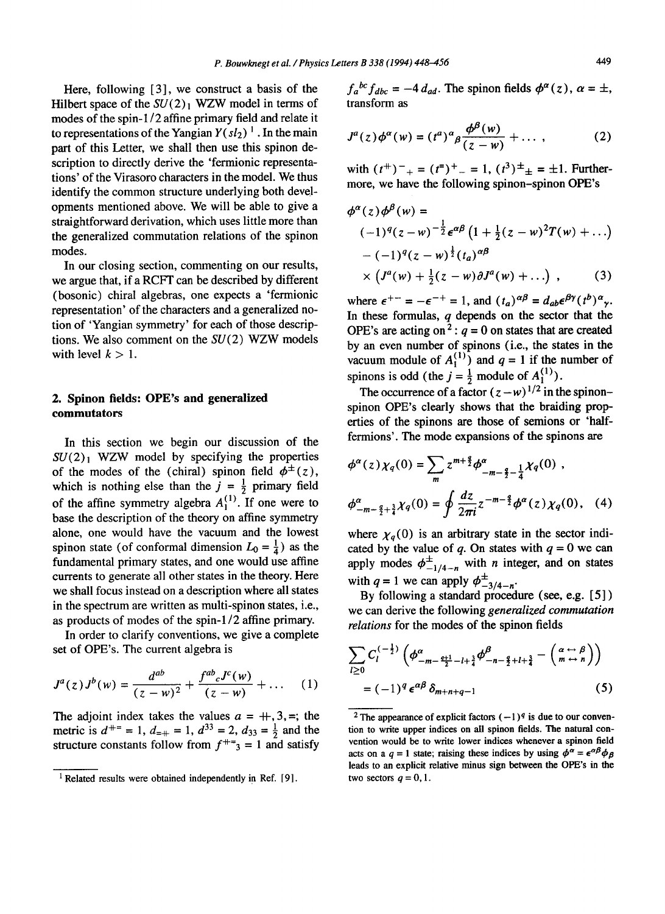Here, following [3], we construct a basis of the Hilbert space of the  $SU(2)_1$  WZW model in terms of modes of the spin-1/2 affine primary field and relate it to representations of the Yangian  $Y(sl_2)^1$ . In the main part of this Letter, we shall then use this spinon description to directly derive the 'fermionic representations' of the Virasoro characters in the model. We thus identify the common structure underlying both developments mentioned above. We will be able to give a straightforward derivation, which uses little more than the generalized commutation relations of the spinon modes.

In our closing section, commenting on our results, we argue that, if a RCFT can be described by different (bosonic) chiral algebras, one expects a 'fermionic representation' of the characters and a generalized notion of 'Yangian symmetry' for each of those descriptions. We also comment on the  $SU(2)$  WZW models with level  $k > 1$ .

## **2. Spinon fields: OPE's and generalized commutators**

In this section we begin our discussion of the  $SU(2)$ <sub>1</sub> WZW model by specifying the properties of the modes of the (chiral) spinon field  $\phi^{\pm}(z)$ , which is nothing else than the  $j = \frac{1}{2}$  primary field of the affine symmetry algebra  $A_1^{(1)}$ . If one were to base the description of the theory on affine symmetry alone, one would have the vacuum and the lowest spinon state (of conformal dimension  $L_0 = \frac{1}{4}$ ) as the fundamental primary states, and one would use affine currents to generate all other states in the theory. Here we shall focus instead on a description where all states in the spectrum are written as multi-spinon states, i.e., as products of modes of the spin-1/2 affine primary.

In order to clarify conventions, we give a complete set of OPE's. The current algebra is

$$
J^{a}(z)J^{b}(w) = \frac{d^{ab}}{(z-w)^{2}} + \frac{f^{ab}{}_{c}J^{c}(w)}{(z-w)} + \dots \quad (1)
$$

The adjoint index takes the values  $a = +1, 3, =;$  the metric is  $d^{+}=1$ ,  $d_{=+}=1$ ,  $d^{33}=2$ ,  $d_{33}=\frac{1}{2}$  and the structure constants follow from  $f^{+2}$  = 1 and satisfy  $f_a{}^{bc} f_{dbc} = -4 d_{ad}$ . The spinon fields  $\phi^{\alpha}(z)$ ,  $\alpha = \pm$ , transform as

$$
J^{a}(z)\phi^{\alpha}(w) = (t^{a})^{\alpha}{}_{\beta}\frac{\phi^{\beta}(w)}{(z-w)} + \ldots , \qquad (2)
$$

with  $(t^+)^{-}{}_{+} = (t^=)^{+}{}_{-} = 1$ ,  $(t^3)^{\pm}{}_{\pm} = \pm 1$ . Furthermore, we have the following spinon-spinon OPE's

$$
\phi^{\alpha}(z)\phi^{\beta}(w) =
$$
\n
$$
(-1)^{q}(z-w)^{-\frac{1}{2}}\epsilon^{\alpha\beta}(1+\frac{1}{2}(z-w)^{2}T(w)+...) - (-1)^{q}(z-w)^{\frac{1}{2}}(t_{a})^{\alpha\beta} \times (J^{a}(w)+\frac{1}{2}(z-w)\partial J^{a}(w)+...) ,
$$
\n(3)

where  $\epsilon^{+-} = -\epsilon^{-+} = 1$ , and  $(t_a)^{\alpha\beta} = d_{ab}\epsilon^{\beta\gamma}(t^b)^\alpha$ . In these formulas,  $q$  depends on the sector that the OPE's are acting on<sup>2</sup>:  $q = 0$  on states that are created by an even number of spinons (i.e., the states in the vacuum module of  $A_1^{(1)}$ ) and  $q = 1$  if the number of spinons is odd (the  $j = \frac{1}{2}$  module of  $A_1^{(1)}$ ).

The occurrence of a factor  $(z-w)^{1/2}$  in the spinon**spinon** OPE's clearly shows that the braiding properties of the spinons are those of semions or 'halffermions'. The mode expansions of the spinons are

$$
\phi^{\alpha}(z)\chi_q(0) = \sum_m z^{m+\frac{q}{2}} \phi^{\alpha}_{-m-\frac{q}{2}-\frac{1}{4}} \chi_q(0) ,
$$
  

$$
\phi^{\alpha}_{-m-\frac{q}{2}+\frac{3}{4}} \chi_q(0) = \oint \frac{dz}{2\pi i} z^{-m-\frac{q}{2}} \phi^{\alpha}(z) \chi_q(0) , \quad (4)
$$

where  $\chi_a(0)$  is an arbitrary state in the sector indicated by the value of q. On states with  $q = 0$  we can apply modes  $\phi^{\pm}_{-1/4-n}$  with *n* integer, and on states with  $q = 1$  we can apply  $\phi_{-3/4-n}^{\pm}$ .

By following a standard procedure (see, e.g. [5] ) we can derive the following *generalized commutation relations* for the modes of the spinon fields

$$
\sum_{l\geq 0} C_l^{(-\frac{1}{2})} \left( \phi_{-m-\frac{q+1}{2}-l+\frac{3}{4}}^{\alpha} \phi_{-n-\frac{q}{2}+l+\frac{3}{4}}^{\beta} - \left( \begin{array}{c} \alpha \leftrightarrow \beta \\ m \leftrightarrow n \end{array} \right) \right)
$$
  
=  $(-1)^q \epsilon^{\alpha\beta} \delta_{m+n+q-1}$  (5)

<sup>&</sup>lt;sup>1</sup> Related results were obtained independently in Ref. [9].

<sup>&</sup>lt;sup>2</sup> The appearance of explicit factors  $(-1)^q$  is due to our conven**tion** to write upper indices on all spinon fields. The natural convention would be to write **lower indices** whenever a spinon field acts on a  $q = 1$  state; raising these indices by using  $\phi^{\alpha} = \epsilon^{\alpha\beta} \phi_{\beta}$ leads to an explicit relative minus sign between the OPE's in the two sectors  $q = 0, 1$ .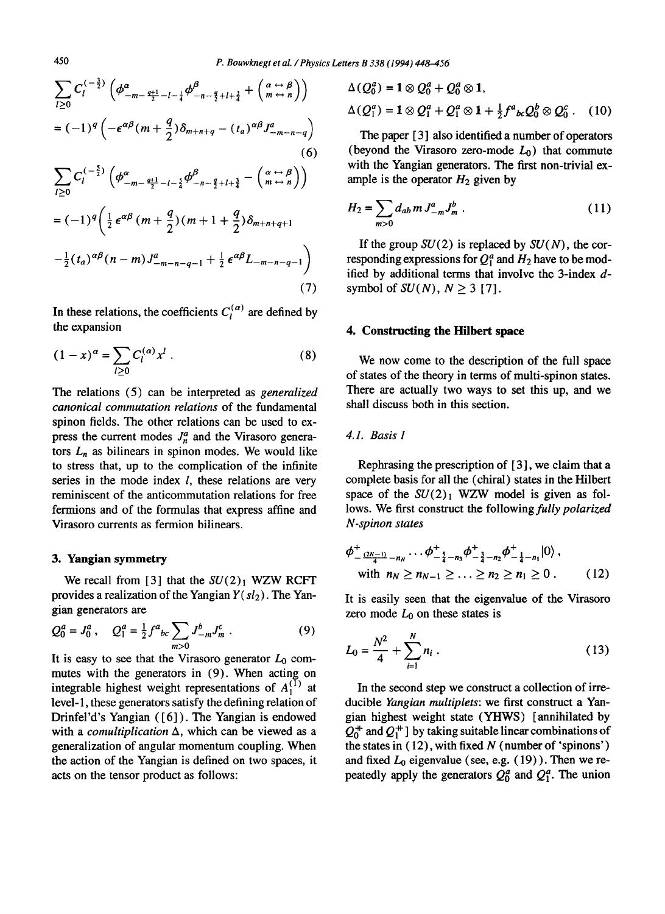$$
\sum_{l\geq 0} C_{l}^{(-\frac{3}{2})} \left( \phi_{-m-\frac{q+1}{2}-l-\frac{1}{4}}^{\alpha} \phi_{-n-\frac{q}{2}+l+\frac{1}{4}}^{\beta} + \left( \begin{matrix} \alpha \leftrightarrow \beta \\ m \leftrightarrow n \end{matrix} \right) \right)
$$
  
=  $(-1)^{q} \left( -\epsilon^{\alpha\beta} (m+\frac{q}{2}) \delta_{m+n+q} - (t_{a})^{\alpha\beta} J_{-m-n-q}^{\alpha} \right)$   
(6)  

$$
\sum_{l\geq 0} C_{l}^{(-\frac{5}{2})} \left( \phi_{-m-\frac{q+1}{2}-l-\frac{5}{4}}^{\alpha} \phi_{-n-\frac{q}{2}+l+\frac{3}{4}}^{\beta} - \left( \begin{matrix} \alpha \leftrightarrow \beta \\ m \leftrightarrow n \end{matrix} \right) \right)
$$
  
=  $(-1)^{q} \left( \frac{1}{2} \epsilon^{\alpha\beta} (m+\frac{q}{2}) (m+1+\frac{q}{2}) \delta_{m+n+q+1} - \frac{1}{2} (t_{a})^{\alpha\beta} (n-m) J_{-m-n-q-1}^{\alpha} + \frac{1}{2} \epsilon^{\alpha\beta} L_{-m-n-q-1} \right)$   
(7)

In these relations, the coefficients  $C^{(\alpha)}_l$  are defined by the expansion

$$
(1-x)^{\alpha} = \sum_{l \ge 0} C_l^{(\alpha)} x^l . \tag{8}
$$

The relations (5) can be interpreted as *generalized canonical commutation relations* of the fundamental spinon fields. The other relations can be used to express the current modes  $J_n^a$  and the Virasoro generators  $L_n$  as bilinears in spinon modes. We would like to stress that, up to the complication of the infinite series in the mode index  $l$ , these relations are very reminiscent of the anticommutation relations for free fermions and of the formulas that express affine and Virasoro currents as fermion bilinears.

#### 3. Yangian symmetry

We recall from [3] that the  $SU(2)_1$  WZW RCFT provides a realization of the Yangian *Y(sl2). The Yan*gian generators are

$$
Q_0^a = J_0^a , \quad Q_1^a = \frac{1}{2} f^a{}_{bc} \sum_{m>0} J^b{}_{-m} J^c{}_m . \tag{9}
$$

It is easy to see that the Virasoro generator  $L_0$  commutes with the generators in (9). When acting on integrable highest weight representations of  $A_1^{(1)}$  at level- 1, these generators satisfy the defining relation of Drinfel'd's Yangian ([6]). The Yangian is endowed with a *comultiplication*  $\Delta$ , which can be viewed as a generalization of angular momentum coupling. When the action of the Yangian is defined on two spaces, it acts on the tensor product as follows:

$$
\Delta(Q_0^a) = 1 \otimes Q_0^a + Q_0^a \otimes 1,
$$
  
\n
$$
\Delta(Q_1^a) = 1 \otimes Q_1^a + Q_1^a \otimes 1 + \frac{1}{2} f^a{}_{bc} Q_0^b \otimes Q_0^c.
$$
 (10)

The paper [3] also identified a number of operators (beyond the Virasoro zero-mode  $L_0$ ) that commute with the Yangian generators. The first non-trivial example is the operator  $H_2$  given by

$$
H_2 = \sum_{m>0} d_{ab} m J_{-m}^a J_m^b \tag{11}
$$

If the group  $SU(2)$  is replaced by  $SU(N)$ , the corresponding expressions for  $Q_1^a$  and  $H_2$  have to be modified by additional terms that involve the 3-index  $d$ symbol of  $SU(N)$ ,  $N \geq 3$  [7].

## **4. Constructing the Hilbert space**

We now come to the description of the full space of states of the theory in terms of multi-spinon states. There are actually two ways to set this up, and we shall discuss both in this section.

#### *4.1. Basis I*

Rephrasing the prescription of [ 3 ], we claim that a complete basis for all the (chiral) states in the Hilbert space of the  $SU(2)_1$  WZW model is given as follows. We first construct the *following fully polarized N-spinon states* 

$$
\phi_{-\frac{(2N-1)}{4}-n_N}^+ \cdots \phi_{-\frac{5}{4}-n_3}^+ \phi_{-\frac{3}{4}-n_2}^+ \phi_{-\frac{1}{4}-n_1}^+ |0\rangle,
$$
\nwith  $n_N \ge n_{N-1} \ge \ldots \ge n_2 \ge n_1 \ge 0$ . (12)

It is easily seen that the eigenvalue of the Virasoro zero mode  $L_0$  on these states is

$$
L_0 = \frac{N^2}{4} + \sum_{i=1}^{N} n_i \; . \tag{13}
$$

In the second step we construct a collection of irreducible *Yangian multiplets:* we first construct a Yangian highest weight state (YHWS) [annihilated by  $Q_0^+$  and  $Q_1^+$ ] by taking suitable linear combinations of the states in  $(12)$ , with fixed N (number of 'spinons') and fixed  $L_0$  eigenvalue (see, e.g. (19)). Then we repeatedly apply the generators  $Q_0^a$  and  $Q_1^a$ . The union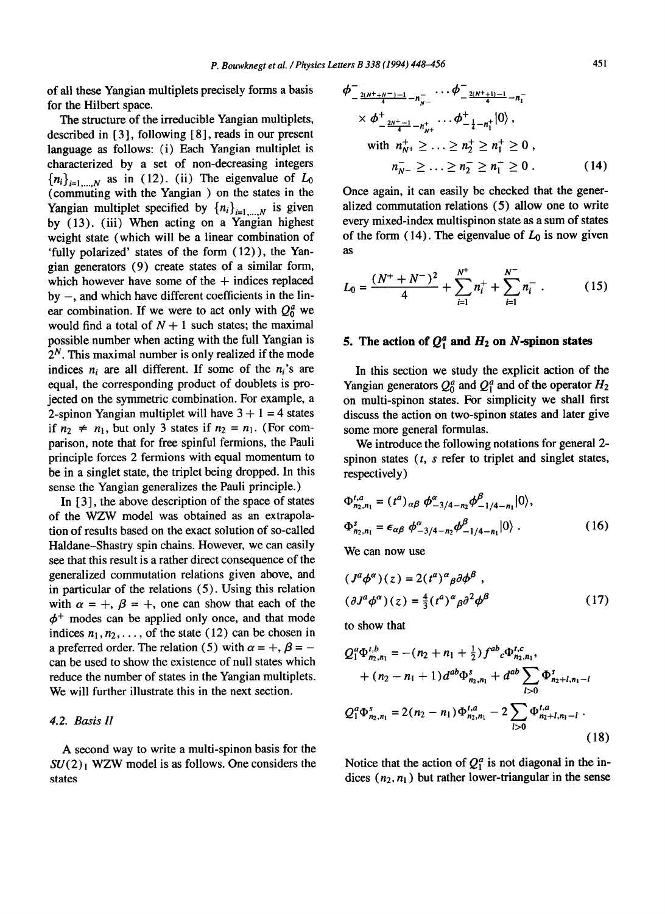of all these Yangian multiplets precisely forms a basis for the Hilbert space.

The structure of the irreducible Yangian multiplets, described in [3], following [8], reads in our present language as follows: (i) Each Yangian multiplet is characterized by a set of non-decreasing integers  ${n_i}_{i=1,...,N}$  as in (12). (ii) The eigenvalue of  $L_0$ (commuting with the Yangian ) on the states in the Yangian multiplet specified by  ${n_i}_{i=1}$ ,  $N$  is given by (13). (iii) When acting on a Yangian highest weight state (which will be a linear combination of 'fully polarized' states of the form (12)), the Yangian generators (9) create states of a similar form, which however have some of the  $+$  indices replaced  $by -$ , and which have different coefficients in the linear combination. If we were to act only with  $Q_0^a$  we would find a total of  $N + 1$  such states; the maximal possible number when acting with the full Yangian is  $2<sup>N</sup>$ . This maximal number is only realized if the mode indices  $n_i$  are all different. If some of the  $n_i$ 's are equal, the corresponding product of doublets is projected on the symmetric combination. For example, a 2-spinon Yangian multiplet will have  $3 + 1 = 4$  states if  $n_2 \neq n_1$ , but only 3 states if  $n_2 = n_1$ . (For comparison, note that for free spinful fermions, the Pauli principle forces 2 fermions with equal momentum to be in a singlet state, the triplet being dropped. In this sense the Yangian generalizes the Pauli principle.)

In [3], the above description of the space of states of the WZW model was obtained as an extrapolation of results based on the exact solution of so-called Haldane-Shastry spin chains. However, we can easily see that this result is a rather direct consequence of the generalized commutation relations given above, and in particular of the relations (5). Using this relation with  $\alpha = +$ ,  $\beta = +$ , one can show that each of the  $\phi^+$  modes can be applied only once, and that mode indices  $n_1, n_2, \ldots$ , of the state (12) can be chosen in a preferred order. The relation (5) with  $\alpha = +$ ,  $\beta =$ can be used to show the existence of null states which reduce the number of states in the Yangian multiplets. We will further illustrate this in the next section.

### *4.2. Basis H*

A second way to write a multi-spinon basis for the  $SU(2)$  WZW model is as follows. One considers the states

$$
\phi_{-\frac{2(N^{+}+N^{-})-1}{4}-n_{N^{-}}}^{-}\cdots\phi_{-\frac{2(N^{+}+1)-1}{4}-n_{1}^{-}}^{-}\times \phi_{-\frac{2N^{+}-1}{4}-n_{N^{+}}}^{+}\cdots\phi_{-\frac{1}{4}-n_{1}^{+}}^{+}|0\rangle ,\n\text{with } n_{N^{+}}^{+}\geq \ldots \geq n_{2}^{+}\geq n_{1}^{+}\geq 0 ,\n n_{N^{-}}^{-}\geq \ldots \geq n_{2}^{-}\geq n_{1}^{-}\geq 0 .
$$
\n(14)

Once again, it can easily be checked that the generalized commutation relations (5) allow one to write every mixed-index multispinon state as a sum of states of the form (14). The eigenvalue of  $L_0$  is now given as

$$
L_0 = \frac{(N^+ + N^-)^2}{4} + \sum_{i=1}^{N^+} n_i^+ + \sum_{i=1}^{N^-} n_i^- \ . \tag{15}
$$

## 5. The action of  $Q_1^a$  and  $H_2$  on N-spinon states

In this section we study the explicit action of the Yangian generators  $Q_0^a$  and  $Q_1^a$  and of the operator  $H_2$ on multi-spinon states. For simplicity we shall first discuss the action on two-spinon states and later give some more general formulas.

We introduce the following notations for general 2 spinon states  $(t, s)$  refer to triplet and singlet states, respectively)

$$
\Phi_{n_2,n_1}^{t,a} = (t^a)_{\alpha\beta} \phi_{-3/4-n_2}^{\alpha} \phi_{-1/4-n_1}^{\beta} |0\rangle,
$$
  

$$
\Phi_{n_2,n_1}^s = \epsilon_{\alpha\beta} \phi_{-3/4-n_2}^{\alpha} \phi_{-1/4-n_1}^{\beta} |0\rangle.
$$
 (16)

We can now use

$$
(J^{a}\phi^{\alpha})(z) = 2(t^{a})^{\alpha}{}_{\beta}\partial\phi^{\beta} ,
$$

$$
(\partial J^{a}\phi^{\alpha})(z) = \frac{4}{3}(t^{a})^{\alpha}{}_{\beta}\partial^{2}\phi^{\beta} \qquad (17)
$$

to show that

$$
Q_1^a \Phi_{n_2,n_1}^{t,b} = -(n_2 + n_1 + \frac{1}{2}) f^{ab}{}_c \Phi_{n_2,n_1}^{t,c},
$$
  
+  $(n_2 - n_1 + 1) d^{ab} \Phi_{n_2,n_1}^s + d^{ab} \sum_{l>0} \Phi_{n_2+l,n_1-l}^s$   
 $Q_1^a \Phi_{n_2,n_1}^s = 2(n_2 - n_1) \Phi_{n_2,n_1}^{t,a} - 2 \sum_{l>0} \Phi_{n_2+l,n_1-l}^{t,a}$  (18)

Notice that the action of  $Q_1^a$  is not diagonal in the indices  $(n_2, n_1)$  but rather lower-triangular in the sense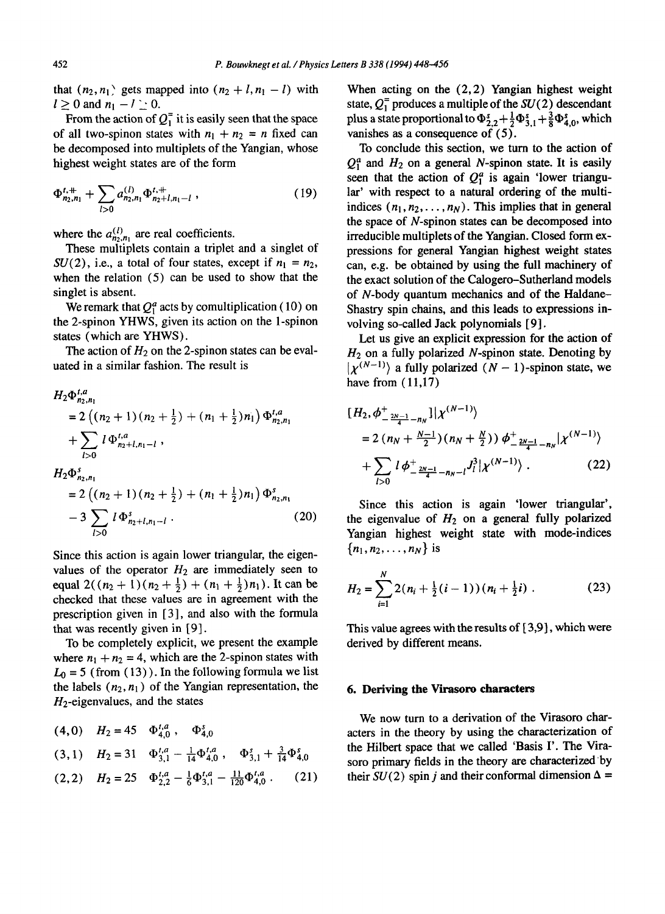that  $(n_2, n_1)$  gets mapped into  $(n_2 + l, n_1 - l)$  with  $l \geq 0$  and  $n_1 - l \geq 0$ .

From the action of  $Q_1^{\dagger}$  it is easily seen that the space of all two-spinon states with  $n_1 + n_2 = n$  fixed can be decomposed into multiplets of the Yangian, whose highest weight states are of the form

$$
\Phi_{n_2,n_1}^{t,+} + \sum_{l>0} a_{n_2,n_1}^{(l)} \Phi_{n_2+l,n_1-l}^{t,+} \,, \tag{19}
$$

where the  $a_{n_2,n_1}^{(l)}$  are real coefficients.

These multiplets contain a triplet and a singlet of  $SU(2)$ , i.e., a total of four states, except if  $n_1 = n_2$ , when the relation (5) can be used to show that the singlet is absent.

We remark that  $Q_1^a$  acts by comultiplication (10) on the 2-spinon YHWS, given its action on the 1-spinon states (which are YHWS).

The action of  $H_2$  on the 2-spinon states can be evaluated in a similar fashion. The result is

$$
H_{2}\Phi_{n_{2},n_{1}}^{t,a}
$$
  
= 2 ((n<sub>2</sub> + 1) (n<sub>2</sub> +  $\frac{1}{2}$ ) + (n<sub>1</sub> +  $\frac{1}{2}$ )n<sub>1</sub>)  $\Phi_{n_{2},n_{1}}^{t,a}$   
+  $\sum_{l>0} l \Phi_{n_{2}+l,n_{1}-l}^{t,a}$ ,  

$$
H_{2}\Phi_{n_{2},n_{1}}^{s}
$$
  
= 2 ((n<sub>2</sub> + 1) (n<sub>2</sub> +  $\frac{1}{2}$ ) + (n<sub>1</sub> +  $\frac{1}{2}$ )n<sub>1</sub>)  $\Phi_{n_{2},n_{1}}^{s}$   
- 3  $\sum_{l>0} l \Phi_{n_{2}+l,n_{1}-l}^{s}$ . (20)

Since this action is again lower triangular, the eigenvalues of the operator  $H_2$  are immediately seen to equal  $2((n_2 + 1)(n_2 + \frac{1}{2}) + (n_1 + \frac{1}{2})n_1)$ . It can be checked that these values are in agreement with the prescription given in [ 3 ], and also with the formula that was recently given in [9].

To be completely explicit, we present the example where  $n_1 + n_2 = 4$ , which are the 2-spinon states with  $L_0 = 5$  (from (13)). In the following formula we list the labels  $(n_2, n_1)$  of the Yangian representation, the  $H_2$ -eigenvalues, and the states

(4,0) 
$$
H_2 = 45 \Phi_{4,0}^{t,a}, \Phi_{4,0}^s
$$
  
\n(3,1)  $H_2 = 31 \Phi_{3,1}^{t,a} - \frac{1}{14} \Phi_{4,0}^{t,a}, \Phi_{3,1}^s + \frac{3}{14} \Phi_{4,0}^s$   
\n(2,2)  $H_2 = 25 \Phi_{2,2}^{t,a} - \frac{1}{6} \Phi_{3,1}^{t,a} - \frac{11}{120} \Phi_{4,0}^{t,a}$ . (21)

When acting on the  $(2, 2)$  Yangian highest weight state,  $Q_1$ <sup>=</sup> produces a multiple of the  $SU(2)$  descendant plus a state proportional to  $\Phi_{2,2}^s + \frac{1}{2} \Phi_{3,1}^s + \frac{3}{8} \Phi_{4,0}^s$ , which vanishes as a consequence of (5).

To conclude this section, we turn to the action of  $Q_1^a$  and  $H_2$  on a general N-spinon state. It is easily seen that the action of  $Q_1^a$  is again 'lower triangular' with respect to a natural ordering of the multiindices  $(n_1, n_2, \ldots, n_N)$ . This implies that in general the space of N-spinon states can be decomposed into irreducible multiplets of the Yangian. Closed form expressions for general Yangian highest weight states can, e.g. be obtained by using the full machinery of the exact solution of the Calogero-Sutherland models of N-body quantum mechanics and of the Haldane-Shastry spin chains, and this leads to expressions involving so-called Jack polynomials [9].

Let us give an explicit expression for the action of  $H<sub>2</sub>$  on a fully polarized N-spinon state. Denoting by  $|\chi^{(N-1)}\rangle$  a fully polarized  $(N-1)$ -spinon state, we have from (11,17)

$$
\begin{split} \left[H_{2},\phi_{-\frac{2N-1}{4}-n_{N}}^{+}\right] \left(\chi^{(N-1)}\right) \\ &= 2\left(n_{N}+\frac{N-1}{2}\right)\left(n_{N}+\frac{N}{2}\right)\right)\phi_{-\frac{2N-1}{4}-n_{N}}^{+}\left|\chi^{(N-1)}\right\rangle \\ &+ \sum_{l>0}l\phi_{-\frac{2N-1}{4}-n_{N}-l}^{+}J_{l}^{3}\left|\chi^{(N-1)}\right\rangle. \end{split} \tag{22}
$$

Since this action is again 'lower triangular', the eigenvalue of  $H_2$  on a general fully polarized Yangian highest weight state with mode-indices  $\{n_1, n_2, \ldots, n_N\}$  is

$$
H_2 = \sum_{i=1}^{N} 2(n_i + \frac{1}{2}(i-1))(n_i + \frac{1}{2}i) \tag{23}
$$

This value agrees with the results of [ 3,9 ], which were derived by different means.

### **6. Deriving the Virasoro characters**

We now turn to a derivation of the Virasoro characters in the theory by using the characterization of the Hilbert space that we called 'Basis I'. The Virasoro primary fields in the theory are characterized by their  $SU(2)$  spin j and their conformal dimension  $\Delta =$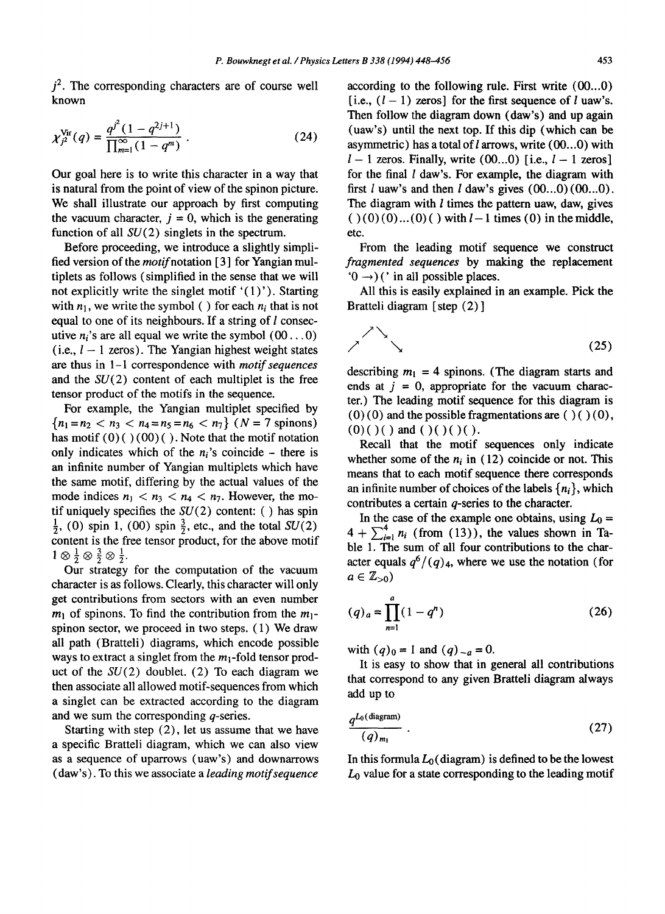$j^2$ . The corresponding characters are of course well known

$$
\chi_j^{\text{Vir}}(q) = \frac{q^{j^2} (1 - q^{2j+1})}{\prod_{m=1}^{\infty} (1 - q^m)} \ . \tag{24}
$$

Our goal here is to write this character in a way that is natural from the point of view of the spinon picture. We shall illustrate our approach by first computing the vacuum character,  $j = 0$ , which is the generating function of all  $SU(2)$  singlets in the spectrum.

Before proceeding, we introduce a slightly simplified version of the *motif notation* [ 3 ] for Yangian multiplets as follows (simplified in the sense that we will not explicitly write the singlet motif  $(1)'$ ). Starting with  $n_1$ , we write the symbol () for each  $n_i$  that is not equal to one of its neighbours. If a string of I consecutive  $n_i$ 's are all equal we write the symbol  $(00...0)$ (i.e.,  $l - 1$  zeros). The Yangian highest weight states are thus in 1-1 correspondence with *motif sequences*  and the  $SU(2)$  content of each multiplet is the free tensor product of the motifs in the sequence.

For example, the Yangian multiplet specified by  ${n_1 = n_2 < n_3 < n_4 = n_5 = n_6 < n_7}$  (N = 7 spinons) has motif  $(0)$  (  $(0)$  (  $(0)$ ) ( ). Note that the motif notation only indicates which of the *ni's* coincide - there is an infinite number of Yangian multiplets which have the same motif, differing by the actual values of the mode indices  $n_1 < n_3 < n_4 < n_7$ . However, the motif uniquely specifies the  $SU(2)$  content: ( ) has spin  $\frac{1}{2}$ , (0) spin 1, (00) spin  $\frac{3}{2}$ , etc., and the total  $SU(2)$ content is the free tensor product, for the above motif  $1 \otimes \frac{1}{2} \otimes \frac{3}{2} \otimes \frac{1}{2}$ .

Our strategy for the computation of the vacuum character is as follows. Clearly, this character will only get contributions from sectors with an even number  $m_1$  of spinons. To find the contribution from the  $m_1$ spinon sector, we proceed in two steps. (1) We draw all path (Bratteli) diagrams, which encode possible ways to extract a singlet from the  $m_1$ -fold tensor product of the  $SU(2)$  doublet. (2) To each diagram we then associate all allowed motif-sequences from which a singlet can be extracted according to the diagram and we sum the corresponding  $q$ -series.

Starting with step (2), let us assume that we have a specific Bratteli diagram, which we can also view as a sequence of uparrows (uaw's) and downarrows (daw's). To this we associate a *leading motif sequence* 

according to the following rule. First write (00...0) [i.e.,  $(l - 1)$  zeros] for the first sequence of *l* uaw's. Then follow the diagram down (daw's) and up again (uaw's) until the next top. If this dip (which can be asymmetric) has a total of  $l$  arrows, write (00...0) with  $l - 1$  zeros. Finally, write (00...0) [i.e.,  $l - 1$  zeros] for the final *l* daw's. For example, the diagram with first  $l$  uaw's and then  $l$  daw's gives  $(00...0)(00...0)$ . The diagram with  $l$  times the pattern uaw, daw, gives  $( ) (0) (0) ... (0) ( )$  with  $l-1$  times (0) in the middle, etc.

From the leading motif sequence we construct *fragmented sequences* by making the replacement  $(0 \rightarrow)$  (' in all possible places.

All this is easily explained in an example. Pick the Bratteli diagram [step (2) ]

$$
\begin{array}{ccccc}\n\nearrow & & & & \\
\nearrow & & & & \\
\nearrow & & & & \\
\end{array}
$$
 (25)

describing  $m_1 = 4$  spinons. (The diagram starts and ends at  $j = 0$ , appropriate for the vacuum character.) The leading motif sequence for this diagram is  $(0)(0)$  and the possible fragmentations are  $( ) ( ) ( 0),$  $(0)()( )$  and  $()()()().$ 

Recall that the motif sequences only indicate whether some of the  $n_i$  in (12) coincide or not. This means that to each motif sequence there corresponds an infinite number of choices of the labels *{ni},* which contributes a certain q-series to the character.

In the case of the example one obtains, using  $L_0 =$  $4 + \sum_{i=1}^{4} n_i$  (from (13)), the values shown in Table 1. The sum of all four contributions to the character equals  $q^{6}/(q)_{4}$ , where we use the notation (for  $a \in \mathbb{Z}_{>0}$ 

$$
(q)_a = \prod_{n=1}^a (1 - q^n) \tag{26}
$$

with  $(q)_0 = 1$  and  $(q)_{-q} = 0$ .

It is easy to show that in general all contributions that correspond to any given Bratteli diagram always add up to

$$
\frac{q^{L_0(\text{diagram})}}{(q)_{m_1}}\ .
$$
 (27)

In this formula  $L_0$  (diagram) is defined to be the lowest  $L_0$  value for a state corresponding to the leading motif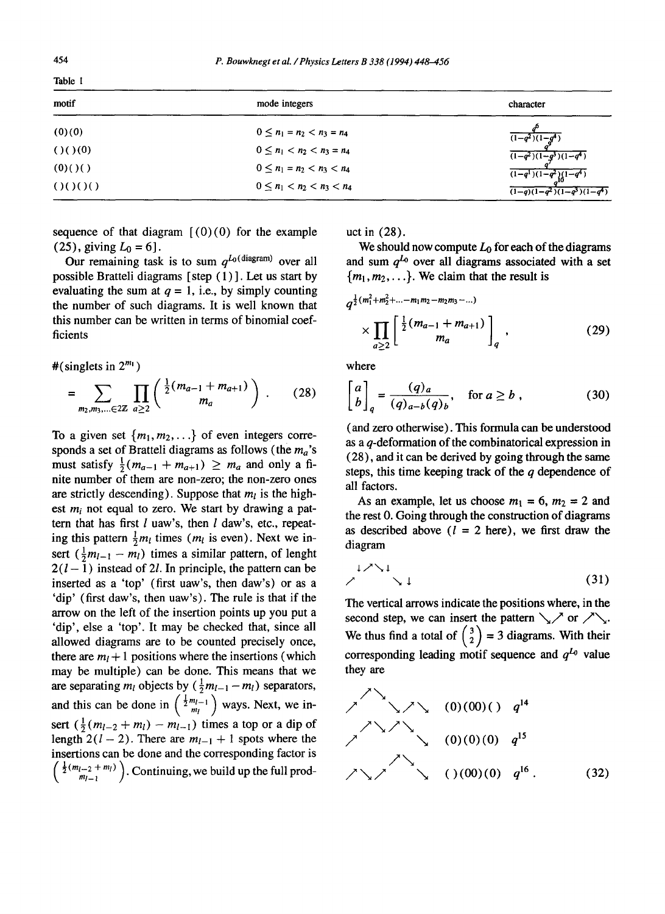| .          |                                |                                        |
|------------|--------------------------------|----------------------------------------|
| motif      | mode integers                  | character                              |
| (0)(0)     | $0 \leq n_1 = n_2 < n_3 = n_4$ | $\frac{1}{(1-q^2)(1-q^4)}$             |
| ( )( )(0)  | $0 \leq n_1 < n_2 < n_3 = n_4$ | $\frac{1}{(1-q^2)(1-q^3)(1-q^4)}$      |
| (0)()( )   | $0 \leq n_1 = n_2 < n_3 < n_4$ | $\frac{q}{(1-q^1)(1-q^2)(1-q^4)}$      |
| ()()()()() | $0 \leq n_1 < n_2 < n_3 < n_4$ | $\frac{3}{(1-q)(1-q^2)(1-q^3)(1-q^4)}$ |
|            |                                |                                        |

sequence of that diagram  $(0)(0)$  for the example (25), giving  $L_0 = 6$ .

Our remaining task is to sum  $q^{L_0$ (diagram) over all possible Bratteli diagrams [step (1)]. Let us start by evaluating the sum at  $q = 1$ , i.e., by simply counting the number of such diagrams. It is well known that this number can be written in terms of binomial coefficients

 $#$ (singlets in  $2^{m_1}$ )

$$
= \sum_{m_2,m_3,\dots\in 2\mathbb{Z}} \prod_{a\geq 2} \left( \frac{\frac{1}{2}(m_{a-1}+m_{a+1})}{m_a} \right) . \tag{28}
$$

To a given set  $\{m_1, m_2, ...\}$  of even integers corresponds a set of Bratteli diagrams as follows (the *ma'S*  must satisfy  $\frac{1}{2}(m_{a-1} + m_{a+1}) \geq m_a$  and only a finite number of them are non-zero; the non-zero ones are strictly descending). Suppose that  $m_l$  is the highest  $m_i$  not equal to zero. We start by drawing a pattern that has first  $l$  uaw's, then  $l$  daw's, etc., repeating this pattern  $\frac{1}{2}m_l$  times ( $m_l$  is even). Next we insert  $(\frac{1}{2}m_{l-1} - m_l)$  times a similar pattern, of lenght  $2(l-1)$  instead of 2l. In principle, the pattern can be inserted as a 'top' (first uaw's, then daw's) or as a 'dip' (first daw's, then uaw's). The rule is that if the arrow on the left of the insertion points up you put a 'dip', else a 'top'. It may be checked that, since all allowed diagrams are to be counted precisely once, there are  $m_l + 1$  positions where the insertions (which may be multiple) can be done. This means that we are separating  $m_l$  objects by  $(\frac{1}{2}m_{l-1} - m_l)$  separators, and this can be done in  $\left(\begin{array}{c} 2^{m}l-1 \\ m \end{array}\right)$  ways. Next, we insert  $(\frac{1}{2}(m_{l-2} + m_l) - m_{l-1})$  times a top or a dip of length  $2(l - 2)$ . There are  $m_{l-1} + 1$  spots where the insertions can be done and the corresponding factor is  $\left(\frac{\frac{1}{2}(m_{l-2} + m_l)}{m_{l-1}}\right)$ . Continuing, we build up the full product in (28).

We should now compute  $L_0$  for each of the diagrams and sum  $q^{L_0}$  over all diagrams associated with a set  ${m_1, m_2, \ldots}$ . We claim that the result is

$$
q^{\frac{1}{2}(m_1^2 + m_2^2 + \dots - m_1 m_2 - m_2 m_3 - \dots)} \times \prod_{a \geq 2} \left[ \frac{\frac{1}{2}(m_{a-1} + m_{a+1})}{m_a} \right]_q,
$$
 (29)

where

$$
\begin{bmatrix} a \\ b \end{bmatrix}_q = \frac{(q)_a}{(q)_{a-b}(q)_b}, \quad \text{for } a \ge b ,
$$
 (30)

(and zero otherwise). This formula can be understood as a q-deformation of the combinatorical expression in (28), and it can be derived by going through the same steps, this time keeping track of the  $q$  dependence of all factors.

As an example, let us choose  $m_1 = 6$ ,  $m_2 = 2$  and the rest 0. Going through the construction of diagrams as described above  $(l = 2$  here), we first draw the diagram

$$
\begin{array}{c}\n\downarrow \nearrow \searrow \downarrow \\
\searrow \searrow \downarrow\n\end{array} \tag{31}
$$

The vertical arrows indicate the positions where, in the second step, we can insert the pattern  $\searrow$  or  $\nearrow \searrow$ . We thus find a total of  $\binom{3}{2} = 3$  diagrams. With their corresponding leading motif sequence and  $q^{L_0}$  value they are

/\ /,~ "x~ ,7 "x~ (0) (00) ( ) q14 /%/% **/ \ (o)(o)(o) q~5**  /\ /~',,,x / z 'x~ ()(00) (0) ql6 . (32)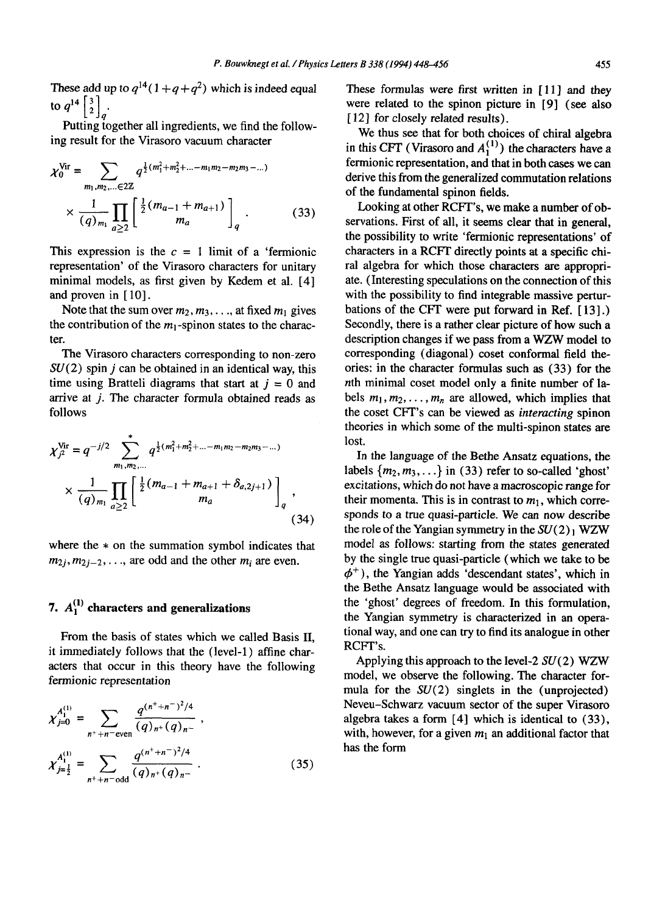These add up to  $q^{14}(1+q+q^2)$  which is indeed equal to  $q^{14} \begin{bmatrix} 3 \\ 2 \end{bmatrix}$ .

Putting together all ingredients, we find the following result for the Virasoro vacuum character

$$
\chi_0^{\text{Vir}} = \sum_{m_1, m_2, ... \in 2\mathbb{Z}} q^{\frac{1}{2}(m_1^2 + m_2^2 + ... - m_1 m_2 - m_2 m_3 - ...)} \times \frac{1}{(q)_{m_1}} \prod_{a \ge 2} \left[ \frac{\frac{1}{2}(m_{a-1} + m_{a+1})}{m_a} \right]_q.
$$
 (33)

This expression is the  $c = 1$  limit of a 'fermionic representation' of the Virasoro characters for unitary minimal models, as first given by Kedem et al. [4] and proven in [ 10].

Note that the sum over  $m_2, m_3, \ldots$  at fixed  $m_1$  gives the contribution of the  $m_1$ -spinon states to the character.

The Virasoro characters corresponding to non-zero  $SU(2)$  spin j can be obtained in an identical way, this time using Bratteli diagrams that start at  $j = 0$  and arrive at j. The character formula obtained reads as follows

$$
\chi_{j^2}^{\text{Vir}} = q^{-j/2} \sum_{m_1, m_2, \dots}^* q^{\frac{1}{2}(m_1^2 + m_2^2 + \dots - m_1 m_2 - m_2 m_3 - \dots)} \times \frac{1}{(q)_{m_1}} \prod_{a \ge 2} \left[ \frac{\frac{1}{2}(m_{a-1} + m_{a+1} + \delta_{a, 2j+1})}{m_a} \right]_q , \qquad (34)
$$

where the  $*$  on the summation symbol indicates that  $m_{2i}, m_{2i-2}, \ldots$ , are odd and the other  $m_i$  are even.

# **7.**  $A_1^{(1)}$  characters and generalizations

From the basis of states which we called Basis II, it immediately follows that the (level-I) affine characters that occur in this theory have the following ferrnionic representation

$$
\chi_{j=0}^{A_1^{(1)}} = \sum_{n^+ + n^- \text{even}} \frac{q^{(n^+ + n^-)^2/4}}{(q)_{n^+} (q)_{n^-}} ,
$$
  

$$
\chi_{j=\frac{1}{2}}^{A_1^{(1)}} = \sum_{n^+ + n^- \text{odd}} \frac{q^{(n^+ + n^-)^2/4}}{(q)_{n^+} (q)_{n^-}} .
$$
 (35)

These formulas were first written in  $[11]$  and they were related to the spinon picture in [9] (see also [12] for closely related results).

We thus see that for both choices of chiral algebra in this CFT (Virasoro and  $A_1^{(1)}$ ) the characters have a fermionic representation, and that in both cases we can derive this from the generalized commutation relations of the fundamental spinon fields.

Looking at other RCFT's, we make a number of observations. First of all, it seems clear that in general, the possibility to write 'fermionic representations' of characters in a RCFT directly points at a specific chiral algebra for which those characters are appropriate. (Interesting speculations on the connection of this with the possibility to find integrable massive perturbations of the CFT were put forward in Ref. [ 13] .) Secondly, there is a rather clear picture of how such a description changes if we pass from a WZW model to corresponding (diagonal) coset conformal field theories: in the character formulas such as (33) for the nth minimal coset model only a finite number of labels  $m_1, m_2, \ldots, m_n$  are allowed, which implies that the coset CFT's can be viewed as *interacting* spinon theories in which some of the multi-spinon states are lost.

In the language of the Bethe Ansatz equations, the labels  $\{m_2, m_3, \ldots\}$  in (33) refer to so-called 'ghost' excitations, which do not have a macroscopic range for their momenta. This is in contrast to  $m_1$ , which corresponds to a true quasi-particle. We can now describe the role of the Yangian symmetry in the  $SU(2)_1$  WZW model as follows: starting from the states generated by the single true quasi-particle (which we take to be  $\phi^+$ ), the Yangian adds 'descendant states', which in the Bethe Ansatz language would be associated with the 'ghost' degrees of freedom. In this formulation, the Yangian symmetry is characterized in an operational way, and one can try to find its analogue in **other**  RCFT's.

Applying this approach to the level-2  $SU(2)$  WZW model, we observe the following. The character formula for the  $SU(2)$  singlets in the (unprojected) Neveu-Schwarz vacuum sector of the super Virasoro algebra takes a form [4] which is identical to (33), with, however, for a given  $m_1$  an additional factor that has the form